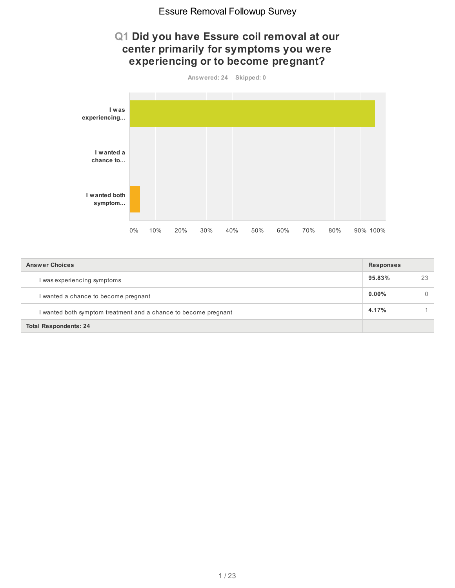## **Q1 Did you have Essure coil removal at our center primarily for symptoms you were experiencing or to become pregnant?**



| <b>Answer Choices</b>                                           | <b>Responses</b> |    |
|-----------------------------------------------------------------|------------------|----|
| I was experiencing symptoms                                     | 95.83%           | 23 |
| I wanted a chance to become pregnant                            | $0.00\%$         |    |
| I wanted both symptom treatment and a chance to become pregnant | 4.17%            |    |
| <b>Total Respondents: 24</b>                                    |                  |    |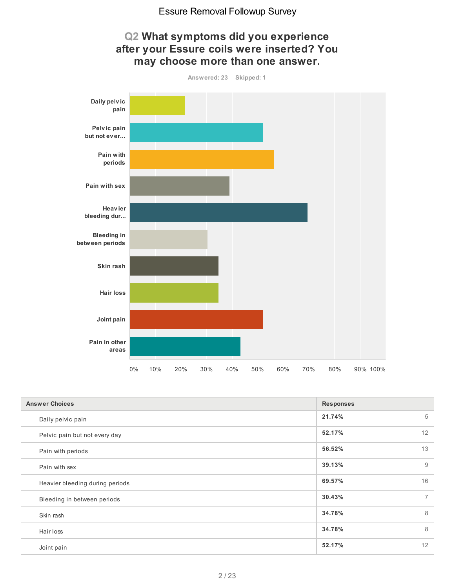

| <b>Answer Choices</b>           | <b>Responses</b>         |
|---------------------------------|--------------------------|
| Daily pelvic pain               | 21.74%<br>5              |
| Pelvic pain but not every day   | 12<br>52.17%             |
| Pain with periods               | 13<br>56.52%             |
| Pain with sex                   | 9<br>39.13%              |
| Heavier bleeding during periods | 16<br>69.57%             |
| Bleeding in between periods     | $\overline{7}$<br>30.43% |
| Skin rash                       | 8<br>34.78%              |
| Hair loss                       | 8<br>34.78%              |
| Joint pain                      | 12<br>52.17%             |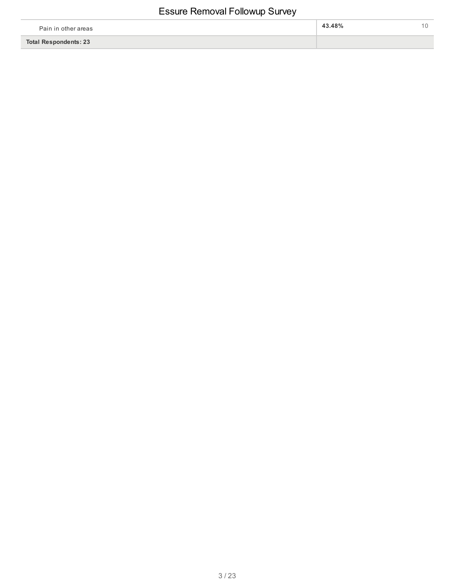| Pain in other areas          | 43.48% |  |
|------------------------------|--------|--|
| <b>Total Respondents: 23</b> |        |  |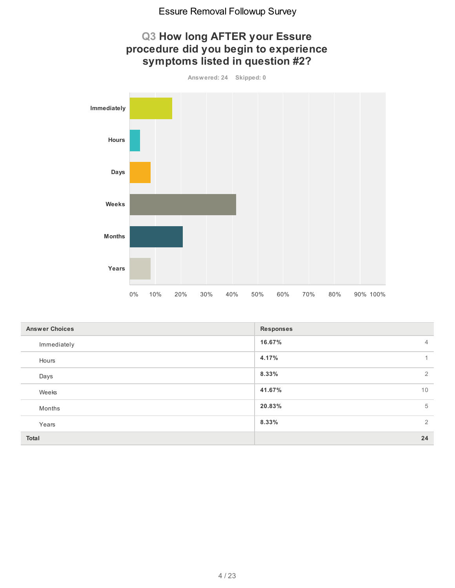

| <b>Answer Choices</b> | <b>Responses</b>         |
|-----------------------|--------------------------|
| Immediately           | 16.67%<br>$\overline{4}$ |
| Hours                 | 4.17%<br>1               |
| Days                  | 8.33%<br>2               |
| Weeks                 | 41.67%<br>10             |
| Months                | 5<br>20.83%              |
| Years                 | 2<br>8.33%               |
| Total                 | 24                       |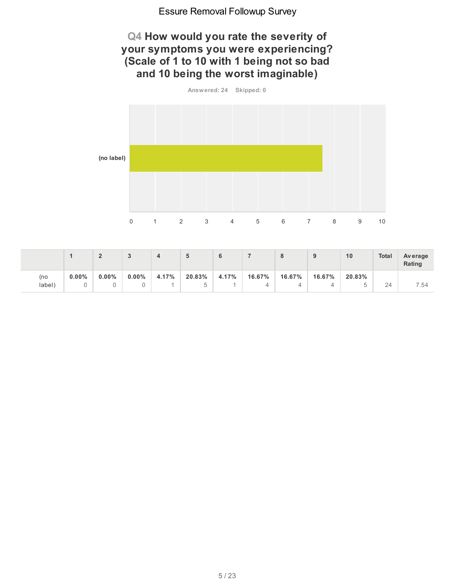## **Q4 How would you rate the severity of your symptoms you were experiencing? (Scale of 1 to 10 with 1 being not so bad and 10 being the worst imaginable)**

**Answered: 24 Skipped: 0 (no label)** 0 1 2 3 4 5 6 7 8 9 10

|               |          | $\sqrt{2}$ |          |       | э      | 6     |        | ю      | ◡      | 10     | <b>Total</b> | Average<br>Rating |
|---------------|----------|------------|----------|-------|--------|-------|--------|--------|--------|--------|--------------|-------------------|
| (no<br>label) | $0.00\%$ | $0.00\%$   | $0.00\%$ | 4.17% | 20.83% | 4.17% | 16.67% | 16.67% | 16.67% | 20.83% | 24           | / 54              |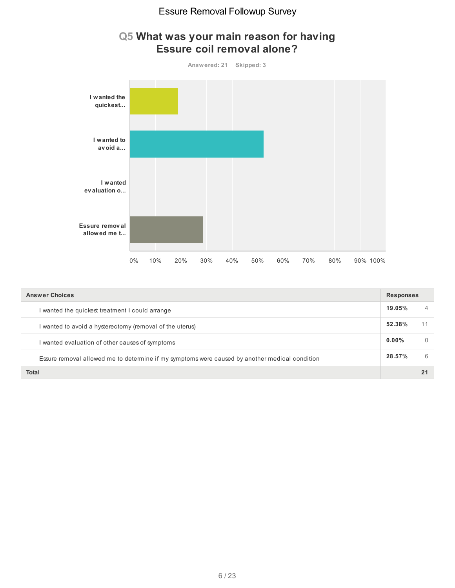

| Q5 What was your main reason for having |  |                                   |  |
|-----------------------------------------|--|-----------------------------------|--|
|                                         |  | <b>Fecure coil removal alone?</b> |  |

| <b>Answer Choices</b>                                                                          | <b>Responses</b> |          |
|------------------------------------------------------------------------------------------------|------------------|----------|
| wanted the quickest treatment I could arrange                                                  | 19.05%           | 4        |
| wanted to avoid a hysterectomy (removal of the uterus)                                         | 52.38%           | 11       |
| wanted evaluation of other causes of symptoms                                                  | $0.00\%$         | $\theta$ |
| Essure removal allowed me to determine if my symptoms were caused by another medical condition | 28.57%           | 6        |
| Total                                                                                          |                  |          |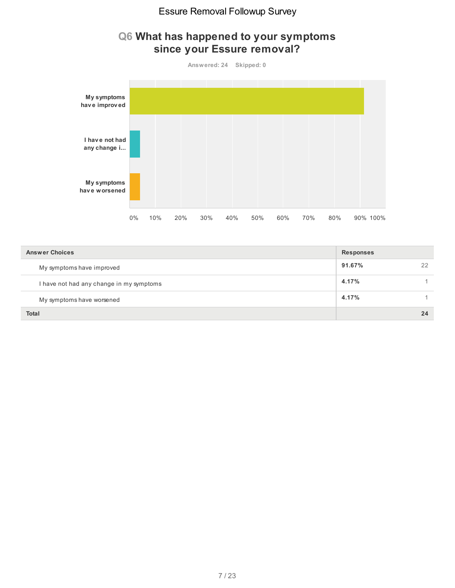## **Q6 What has happened to your symptoms since your Essure removal?**



| <b>Answer Choices</b>                    | <b>Responses</b> |    |
|------------------------------------------|------------------|----|
| My symptoms have improved                | 91.67%           | 22 |
| I have not had any change in my symptoms | 4.17%            |    |
| My symptoms have worsened                | 4.17%            |    |
| <b>Total</b>                             |                  | 24 |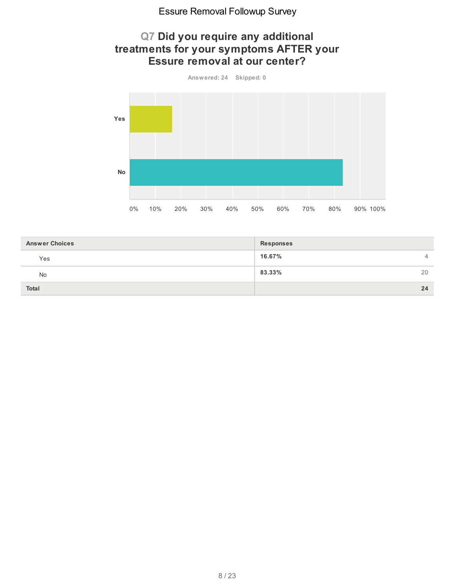## **Q7 Did you require any additional treatments for your symptoms AFTER your Essure removal at our center?**



| <b>Answer Choices</b> | <b>Responses</b>         |
|-----------------------|--------------------------|
| Yes                   | 16.67%<br>$\overline{4}$ |
| No                    | 83.33%<br>20             |
| <b>Total</b>          | 24                       |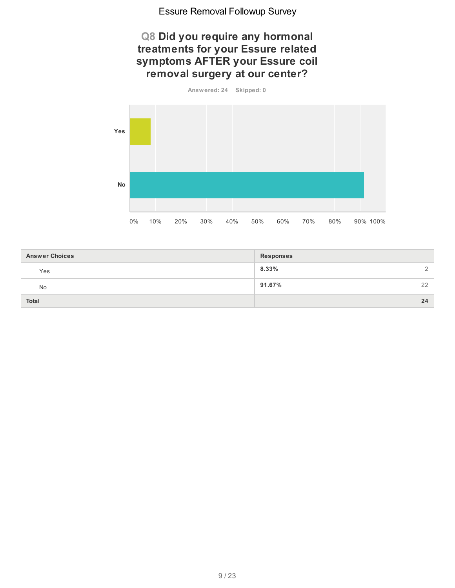## **Q8 Did you require any hormonal treatments for your Essure related symptoms AFTER your Essure coil removal surgery at our center?**



| <b>Answer Choices</b> | <b>Responses</b> |
|-----------------------|------------------|
| Yes                   | $8.33\%$<br>2    |
| No                    | 91.67%<br>22     |
| <b>Total</b>          | 24               |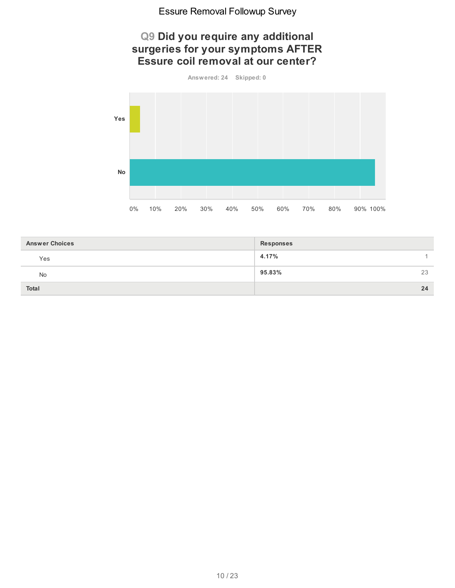## **Q9 Did you require any additional surgeries for your symptoms AFTER Essure coil removal at our center?**

**Answered: 24 Skipped: 0**



| <b>Answer Choices</b> | <b>Responses</b> |
|-----------------------|------------------|
| Yes                   | 4.17%            |
| No                    | 95.83%<br>23     |
| <b>Total</b>          | 24               |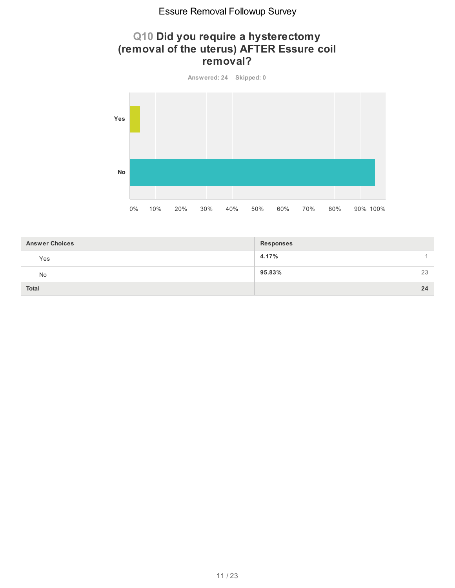## **Q10 Did you require a hysterectomy (removal of the uterus) AFTER Essure coil removal?**

**Answered: 24 Skipped: 0 Yes No** 0% 10% 20% 30% 40% 50% 60% 70% 80% 90% 100%

| <b>Answer Choices</b> | <b>Responses</b> |
|-----------------------|------------------|
| Yes                   | 4.17%            |
| <b>No</b>             | 95.83%<br>23     |
| <b>Total</b>          | 24               |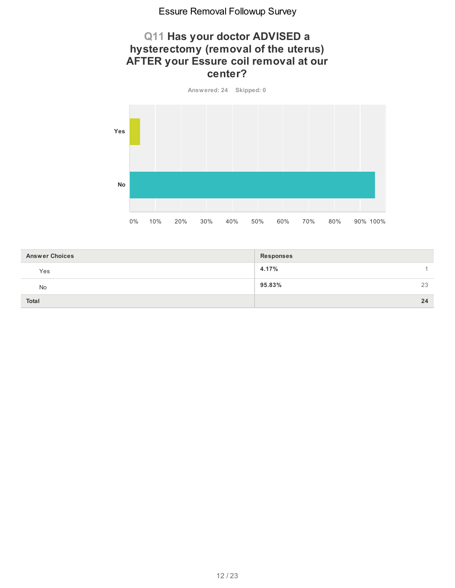## **Q11 Has your doctor ADVISED a hysterectomy (removal of the uterus) AFTER your Essure coil removal at our center?**



| <b>Answer Choices</b> | <b>Responses</b> |
|-----------------------|------------------|
| Yes                   | 4.17%            |
| No                    | 95.83%<br>23     |
| <b>Total</b>          | 24               |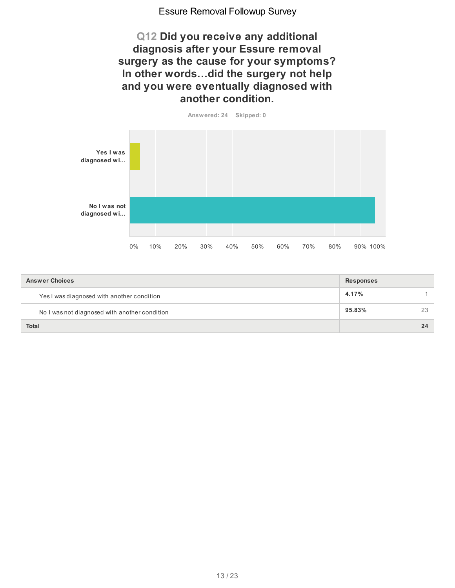**Q12 Did you receive any additional diagnosis after your Essure removal surgery as the cause for your symptoms? In other words…did the surgery not help and you were eventually diagnosed with another condition.**



| <b>Answer Choices</b>                         | <b>Responses</b> |    |
|-----------------------------------------------|------------------|----|
| Yes I was diagnosed with another condition    | 4.17%            |    |
| No I was not diagnosed with another condition | 95.83%           | 23 |
| <b>Total</b>                                  |                  | 24 |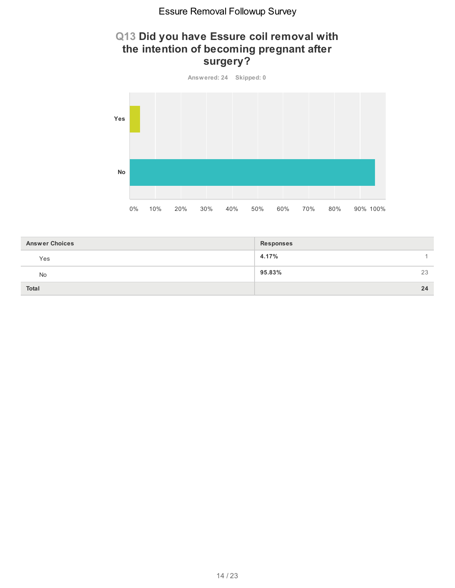## **Q13 Did you have Essure coil removal with the intention of becoming pregnant after surgery?**



| <b>Answer Choices</b> | <b>Responses</b> |
|-----------------------|------------------|
| Yes                   | 4.17%            |
| No                    | 95.83%<br>23     |
| <b>Total</b>          | 24               |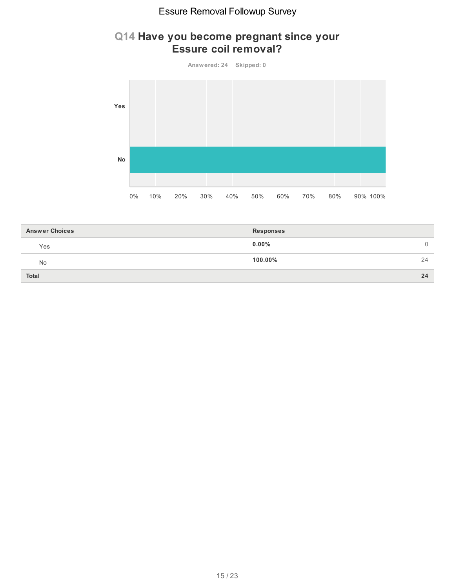## **Q14 Have you become pregnant since your Essure coil removal?**

![](_page_14_Figure_2.jpeg)

| <b>Answer Choices</b> | <b>Responses</b> |
|-----------------------|------------------|
| Yes                   | $0.00\%$<br>0    |
| <b>No</b>             | $100.00\%$<br>24 |
| Total                 | 24               |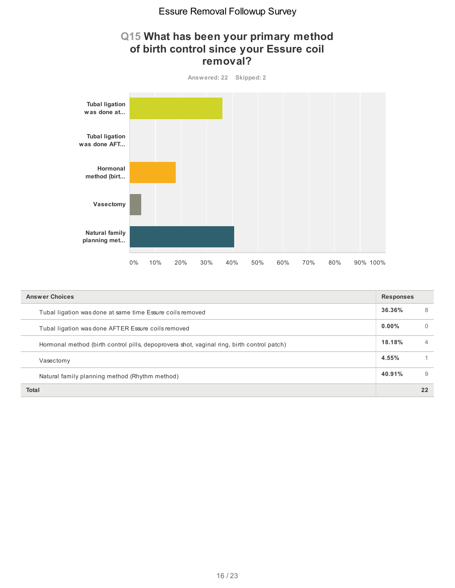## **Q15 What has been your primary method of birth control since your Essure coil removal?**

![](_page_15_Figure_2.jpeg)

| <b>Answer Choices</b>                                                                      |          |                |
|--------------------------------------------------------------------------------------------|----------|----------------|
| Tubal ligation was done at same time Essure coils removed                                  | 36.36%   | 8              |
| Tubal ligation was done AFTER Essure coils removed                                         | $0.00\%$ | $\Omega$       |
| Hormonal method (birth control pills, depoprovera shot, vaginal ring, birth control patch) | 18.18%   | $\overline{4}$ |
| Vasectomy                                                                                  | 4.55%    |                |
| Natural family planning method (Rhythm method)                                             | 40.91%   | 9              |
| Total                                                                                      |          | 22             |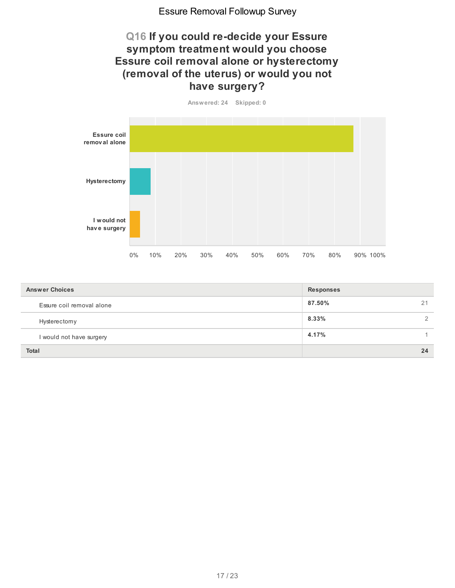## **Q16 If you could re-decide your Essure symptom treatment would you choose Essure coil removal alone or hysterectomy (removal of the uterus) or would you not have surgery?**

**Answered: 24 Skipped: 0**

![](_page_16_Figure_3.jpeg)

| <b>Answer Choices</b>     | <b>Responses</b>       |  |  |
|---------------------------|------------------------|--|--|
| Essure coil removal alone | 87.50%<br>21           |  |  |
| Hysterectomy              | 8.33%<br>$\mathcal{P}$ |  |  |
| I would not have surgery  | 4.17%                  |  |  |
| <b>Total</b>              | 24                     |  |  |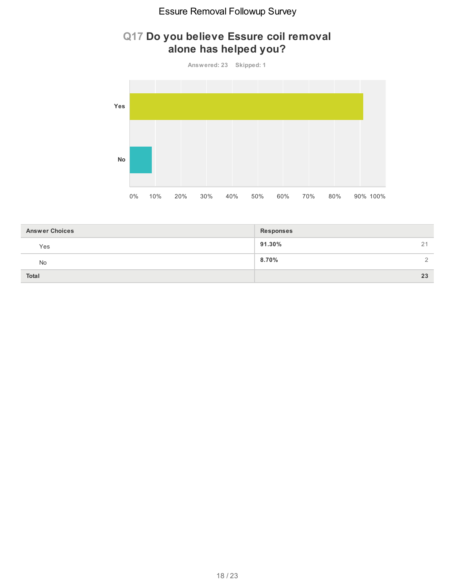## **Q17 Do you believe Essure coil removal alone has helped you?**

![](_page_17_Figure_2.jpeg)

| <b>Answer Choices</b> | <b>Responses</b>          |
|-----------------------|---------------------------|
| Yes                   | 91.30%<br>21              |
| No                    | $8.70\%$<br>$\mathcal{L}$ |
| <b>Total</b>          | 23                        |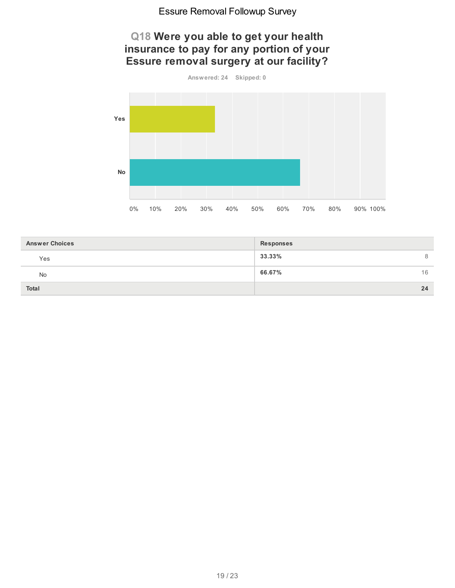## **Q18 Were you able to get your health insurance to pay for any portion of your Essure removal surgery at our facility?**

![](_page_18_Figure_2.jpeg)

| <b>Answer Choices</b> | <b>Responses</b> |
|-----------------------|------------------|
| Yes                   | 33.33%<br>8      |
| No                    | 66.67%<br>16     |
| <b>Total</b>          | 24               |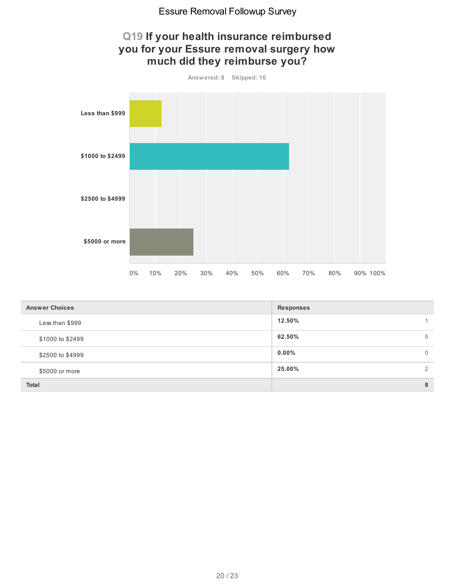![](_page_19_Figure_1.jpeg)

| <b>Answer Choices</b> | <b>Responses</b> |                |  |  |  |
|-----------------------|------------------|----------------|--|--|--|
| Less than \$999       | 12.50%           |                |  |  |  |
| \$1000 to \$2499      | 62.50%           | 5              |  |  |  |
| \$2500 to \$4999      | $0.00\%$         | $\overline{0}$ |  |  |  |
| \$5000 or more        | 25.00%           | $\mathcal{P}$  |  |  |  |
| <b>Total</b>          |                  | 8              |  |  |  |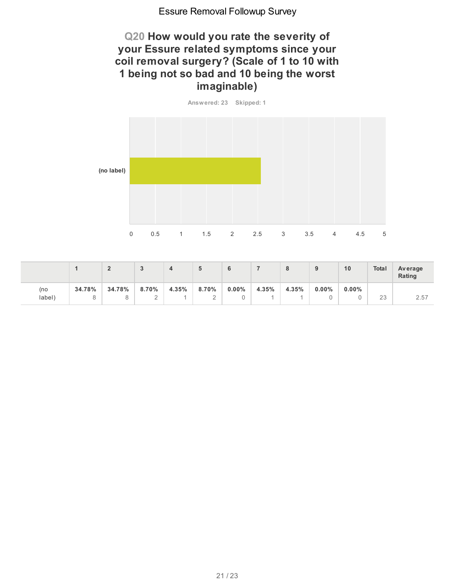## **Q20 How would you rate the severity of your Essure related symptoms since your coil removal surgery? (Scale of 1 to 10 with 1 being not so bad and 10 being the worst imaginable)**

**Answered: 23 Skipped: 1**

![](_page_20_Figure_3.jpeg)

|        |        | $\sqrt{2}$ |          |       | G           |          |       | o<br>o | 9        | 10       | <b>Total</b> | <b>Average</b><br>Rating |
|--------|--------|------------|----------|-------|-------------|----------|-------|--------|----------|----------|--------------|--------------------------|
| (no    | 34.78% | 34.78%     | $8.70\%$ | 4.35% | 8.70%       | $0.00\%$ | 4.35% | 4.35%  | $0.00\%$ | $0.00\%$ |              |                          |
| label) |        |            | $\sim$   |       | $\sim$<br>- |          |       |        |          |          | 23           | 2.57                     |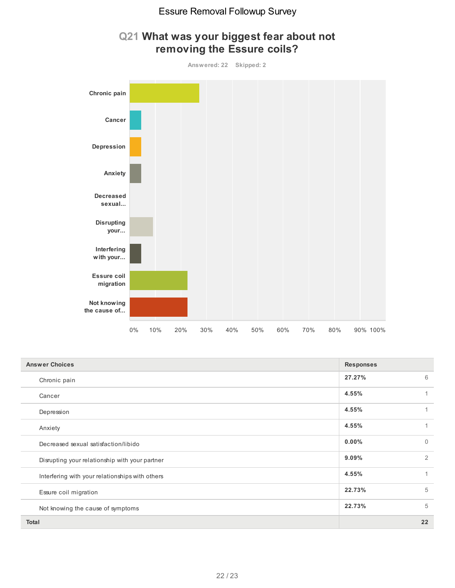![](_page_21_Figure_1.jpeg)

## **Q21 What was your biggest fear about not removing the Essure coils?**

| <b>Answer Choices</b>                           | <b>Responses</b> |              |
|-------------------------------------------------|------------------|--------------|
| Chronic pain                                    | 27.27%           | 6            |
| Cancer                                          | 4.55%            | 1            |
| Depression                                      | 4.55%            | 1            |
| Anxiety                                         | 4.55%            | 1            |
| Decreased sexual satisfaction/libido            | 0.00%            | $\mathbf{0}$ |
| Disrupting your relationship with your partner  | 9.09%            | 2            |
| Interfering with your relationships with others | 4.55%            | 1            |
| Essure coil migration                           | 22.73%           | 5            |
| Not knowing the cause of symptoms               | 22.73%           | 5            |
| <b>Total</b>                                    |                  | 22           |